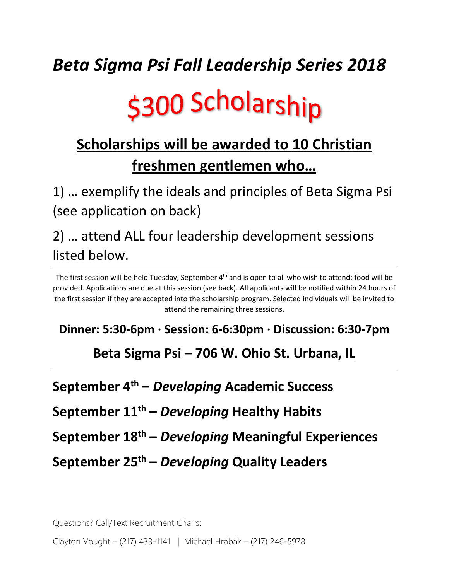## *Beta Sigma Psi Fall Leadership Series 2018*

# \$300 Scholarship

### **Scholarships will be awarded to 10 Christian freshmen gentlemen who…**

1) … exemplify the ideals and principles of Beta Sigma Psi (see application on back)

2) … attend ALL four leadership development sessions listed below.

The first session will be held Tuesday, September 4<sup>th</sup> and is open to all who wish to attend; food will be provided. Applications are due at this session (see back). All applicants will be notified within 24 hours of the first session if they are accepted into the scholarship program. Selected individuals will be invited to attend the remaining three sessions.

#### **Dinner: 5:30-6pm · Session: 6-6:30pm · Discussion: 6:30-7pm**

#### **Beta Sigma Psi – 706 W. Ohio St. Urbana, IL**

**September 4th –** *Developing* **Academic Success**

**September 11th –** *Developing* **Healthy Habits**

**September 18th –** *Developing* **Meaningful Experiences**

**September 25th –** *Developing* **Quality Leaders**

Questions? Call/Text Recruitment Chairs:

Clayton Vought – (217) 433-1141 | Michael Hrabak – (217) 246-5978